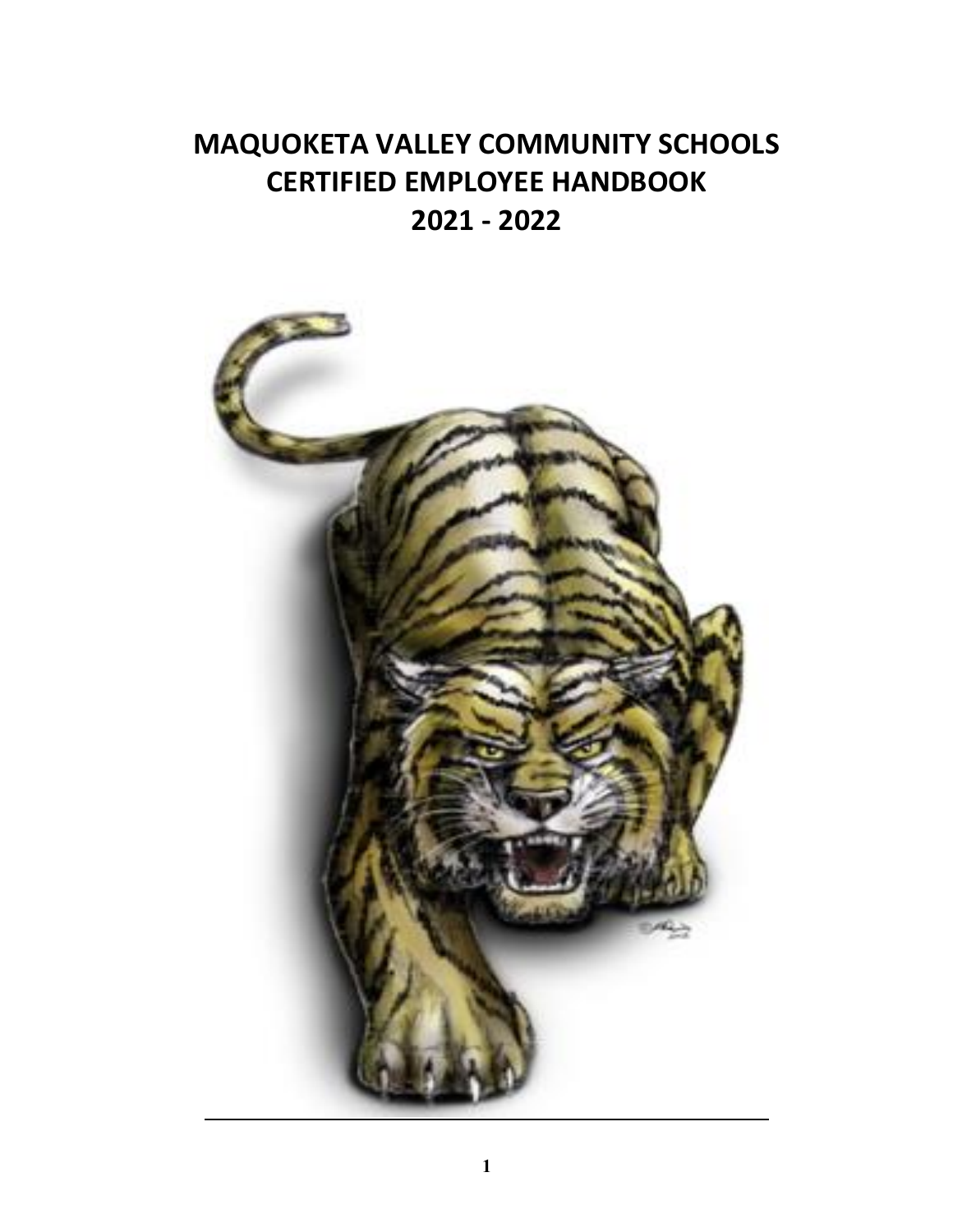# **MAQUOKETA VALLEY COMMUNITY SCHOOLS CERTIFIED EMPLOYEE HANDBOOK 2021 - 2022**

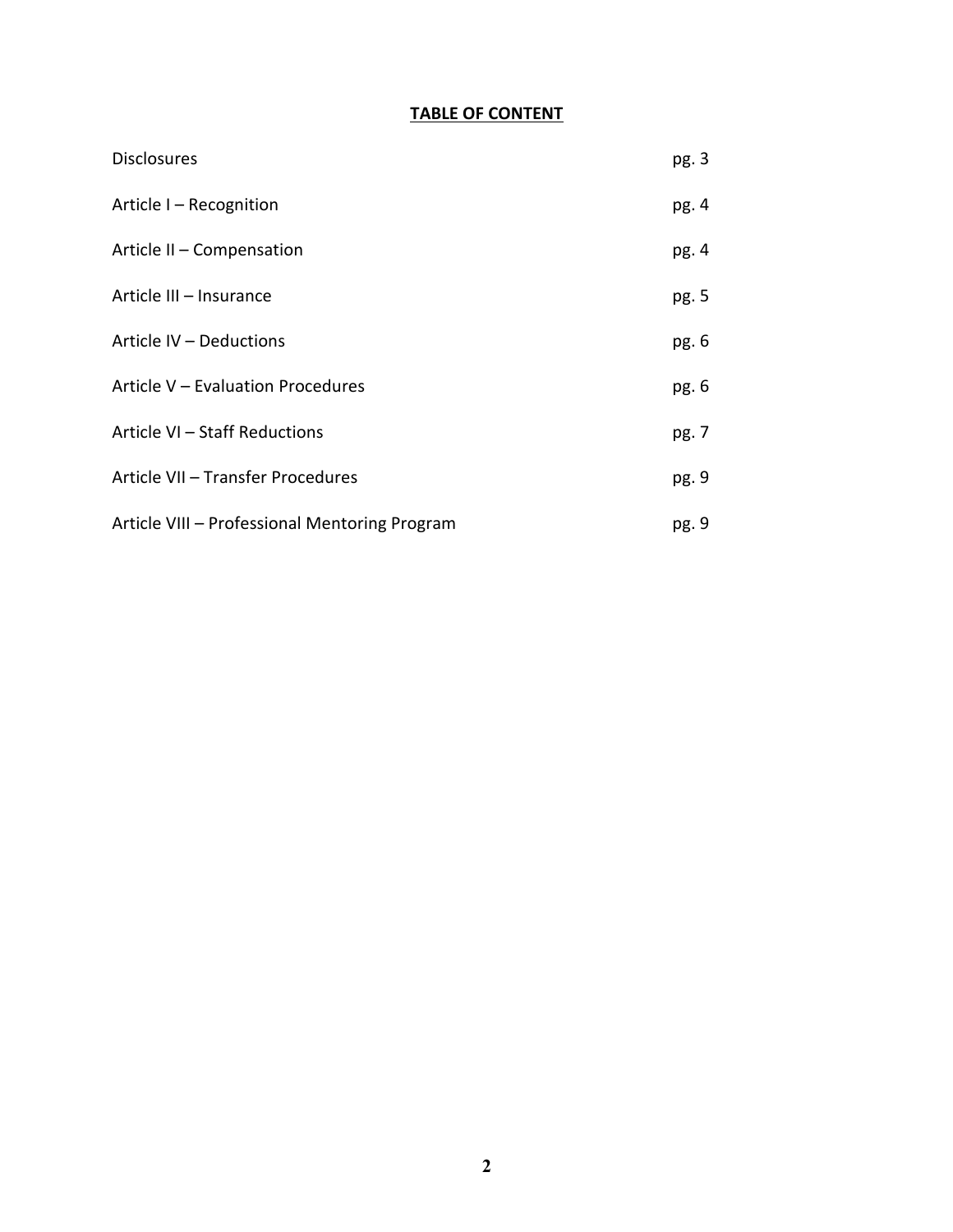# **TABLE OF CONTENT**

| <b>Disclosures</b>                            | pg. 3 |
|-----------------------------------------------|-------|
| Article I - Recognition                       | pg. 4 |
| Article II - Compensation                     | pg. 4 |
| Article III - Insurance                       | pg. 5 |
| Article IV - Deductions                       | pg. 6 |
| Article V - Evaluation Procedures             | pg. 6 |
| Article VI - Staff Reductions                 | pg. 7 |
| Article VII - Transfer Procedures             | pg. 9 |
| Article VIII - Professional Mentoring Program | pg. 9 |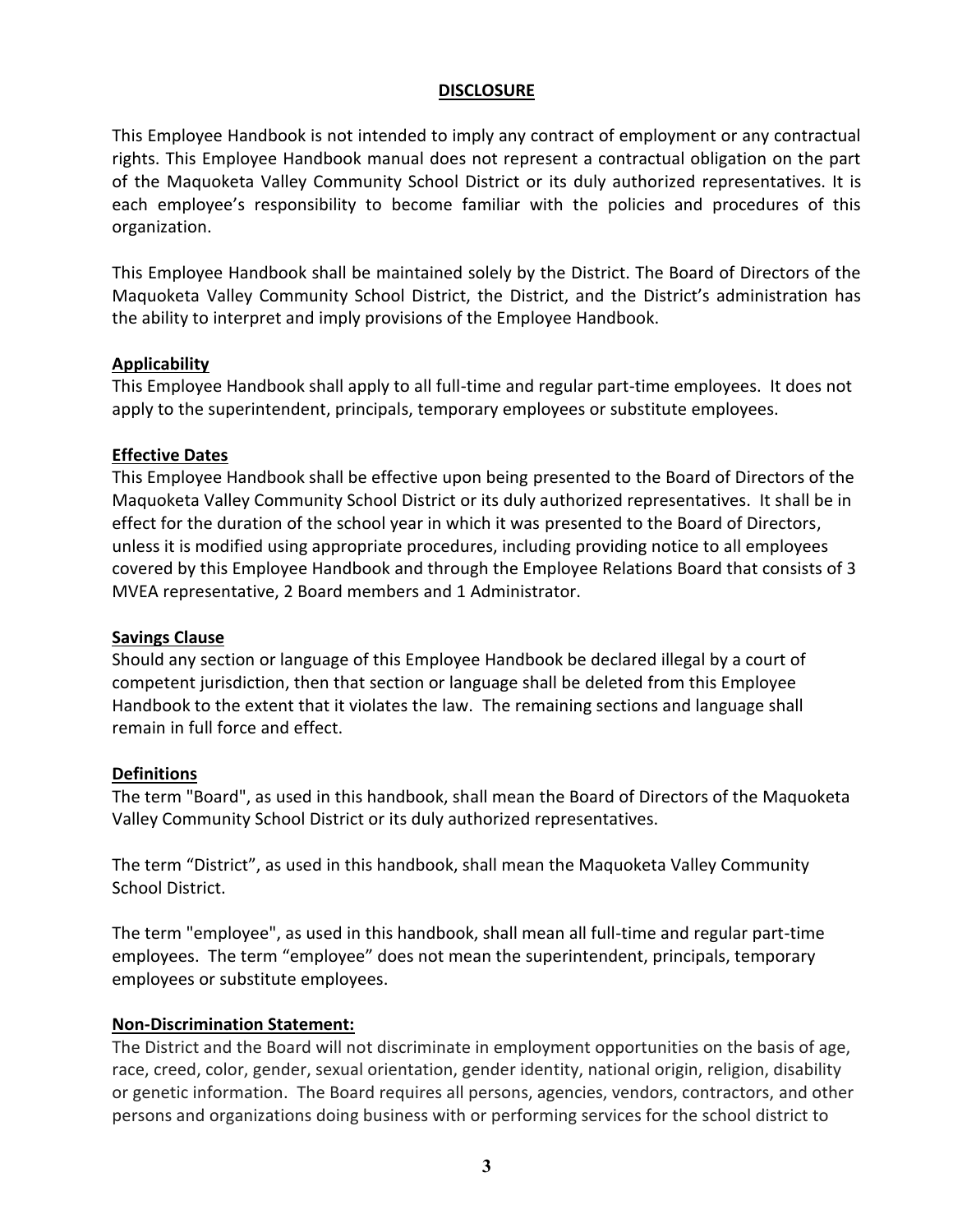#### **DISCLOSURE**

This Employee Handbook is not intended to imply any contract of employment or any contractual rights. This Employee Handbook manual does not represent a contractual obligation on the part of the Maquoketa Valley Community School District or its duly authorized representatives. It is each employee's responsibility to become familiar with the policies and procedures of this organization.

This Employee Handbook shall be maintained solely by the District. The Board of Directors of the Maquoketa Valley Community School District, the District, and the District's administration has the ability to interpret and imply provisions of the Employee Handbook.

#### **Applicability**

This Employee Handbook shall apply to all full-time and regular part-time employees. It does not apply to the superintendent, principals, temporary employees or substitute employees.

#### **Effective Dates**

This Employee Handbook shall be effective upon being presented to the Board of Directors of the Maquoketa Valley Community School District or its duly authorized representatives. It shall be in effect for the duration of the school year in which it was presented to the Board of Directors, unless it is modified using appropriate procedures, including providing notice to all employees covered by this Employee Handbook and through the Employee Relations Board that consists of 3 MVEA representative, 2 Board members and 1 Administrator.

#### **Savings Clause**

Should any section or language of this Employee Handbook be declared illegal by a court of competent jurisdiction, then that section or language shall be deleted from this Employee Handbook to the extent that it violates the law. The remaining sections and language shall remain in full force and effect.

#### **Definitions**

The term "Board", as used in this handbook, shall mean the Board of Directors of the Maquoketa Valley Community School District or its duly authorized representatives.

The term "District", as used in this handbook, shall mean the Maquoketa Valley Community School District.

The term "employee", as used in this handbook, shall mean all full-time and regular part-time employees. The term "employee" does not mean the superintendent, principals, temporary employees or substitute employees.

#### **Non-Discrimination Statement:**

The District and the Board will not discriminate in employment opportunities on the basis of age, race, creed, color, gender, sexual orientation, gender identity, national origin, religion, disability or genetic information. The Board requires all persons, agencies, vendors, contractors, and other persons and organizations doing business with or performing services for the school district to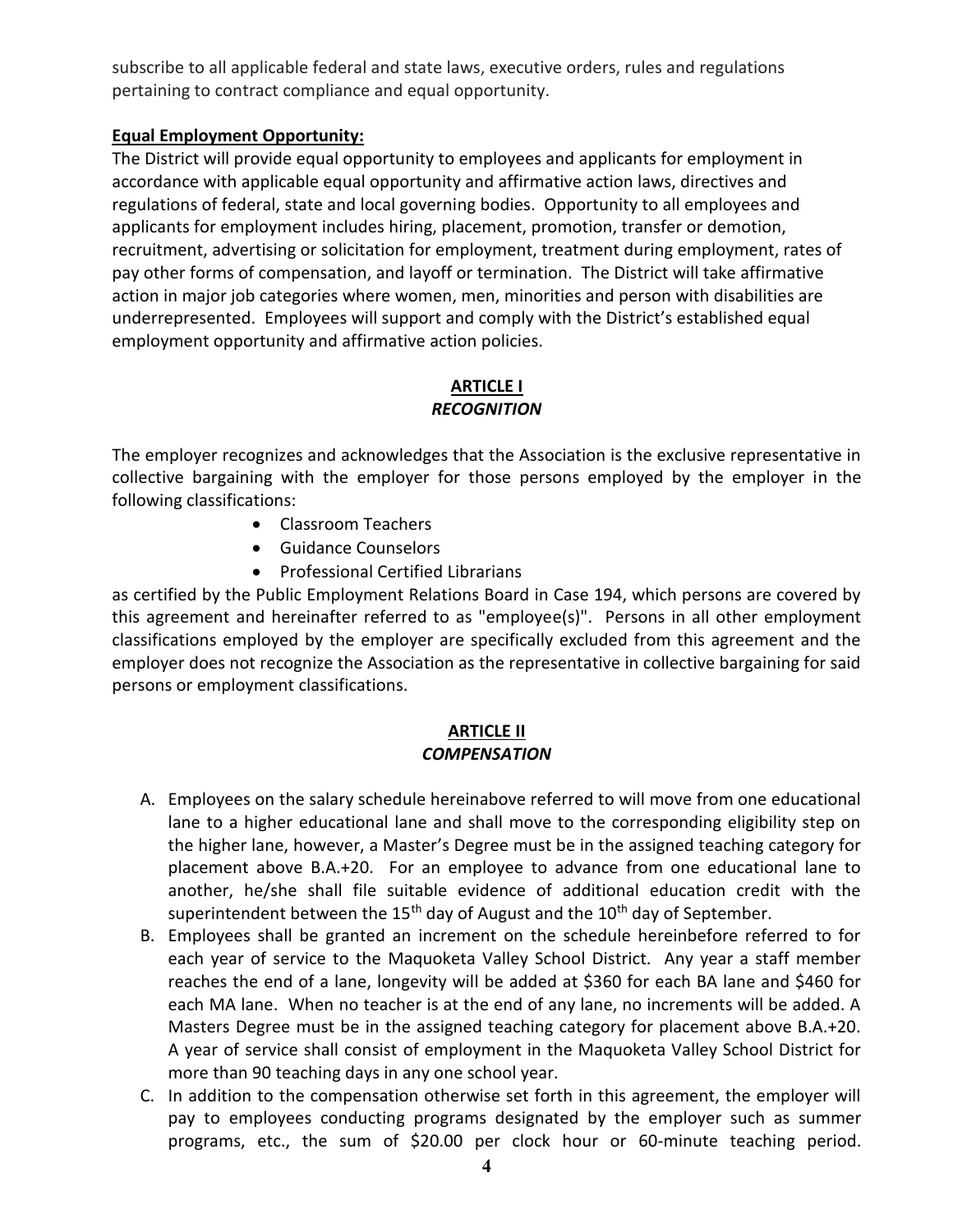subscribe to all applicable federal and state laws, executive orders, rules and regulations pertaining to contract compliance and equal opportunity.

# **Equal Employment Opportunity:**

The District will provide equal opportunity to employees and applicants for employment in accordance with applicable equal opportunity and affirmative action laws, directives and regulations of federal, state and local governing bodies. Opportunity to all employees and applicants for employment includes hiring, placement, promotion, transfer or demotion, recruitment, advertising or solicitation for employment, treatment during employment, rates of pay other forms of compensation, and layoff or termination. The District will take affirmative action in major job categories where women, men, minorities and person with disabilities are underrepresented. Employees will support and comply with the District's established equal employment opportunity and affirmative action policies.

## **ARTICLE I** *RECOGNITION*

The employer recognizes and acknowledges that the Association is the exclusive representative in collective bargaining with the employer for those persons employed by the employer in the following classifications:

- Classroom Teachers
- Guidance Counselors
- Professional Certified Librarians

as certified by the Public Employment Relations Board in Case 194, which persons are covered by this agreement and hereinafter referred to as "employee(s)". Persons in all other employment classifications employed by the employer are specifically excluded from this agreement and the employer does not recognize the Association as the representative in collective bargaining for said persons or employment classifications.

#### **ARTICLE II** *COMPENSATION*

- A. Employees on the salary schedule hereinabove referred to will move from one educational lane to a higher educational lane and shall move to the corresponding eligibility step on the higher lane, however, a Master's Degree must be in the assigned teaching category for placement above B.A.+20. For an employee to advance from one educational lane to another, he/she shall file suitable evidence of additional education credit with the superintendent between the 15<sup>th</sup> day of August and the 10<sup>th</sup> day of September.
- B. Employees shall be granted an increment on the schedule hereinbefore referred to for each year of service to the Maquoketa Valley School District. Any year a staff member reaches the end of a lane, longevity will be added at \$360 for each BA lane and \$460 for each MA lane. When no teacher is at the end of any lane, no increments will be added. A Masters Degree must be in the assigned teaching category for placement above B.A.+20. A year of service shall consist of employment in the Maquoketa Valley School District for more than 90 teaching days in any one school year.
- C. In addition to the compensation otherwise set forth in this agreement, the employer will pay to employees conducting programs designated by the employer such as summer programs, etc., the sum of \$20.00 per clock hour or 60-minute teaching period.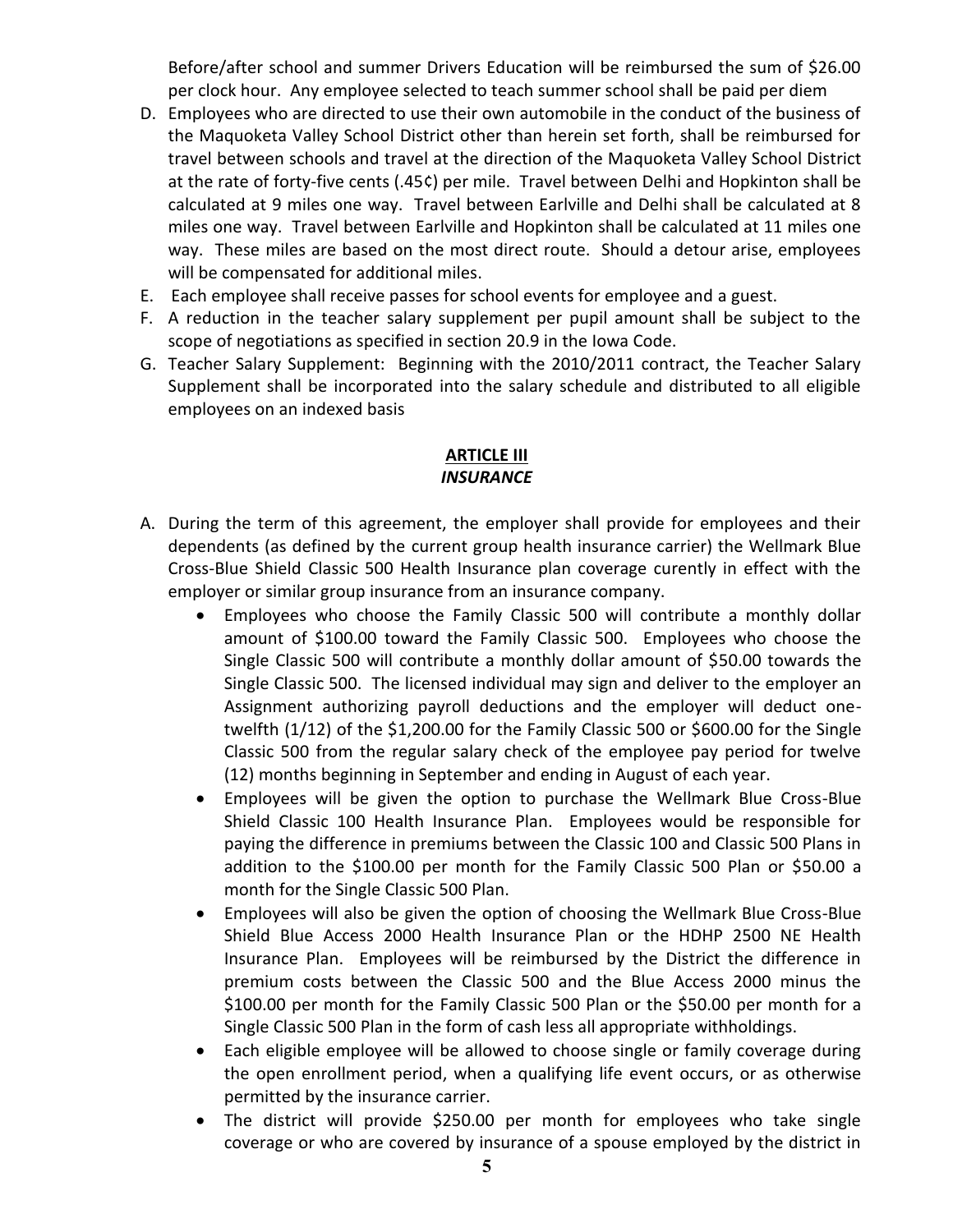Before/after school and summer Drivers Education will be reimbursed the sum of \$26.00 per clock hour. Any employee selected to teach summer school shall be paid per diem

- D. Employees who are directed to use their own automobile in the conduct of the business of the Maquoketa Valley School District other than herein set forth, shall be reimbursed for travel between schools and travel at the direction of the Maquoketa Valley School District at the rate of forty-five cents (.45¢) per mile. Travel between Delhi and Hopkinton shall be calculated at 9 miles one way. Travel between Earlville and Delhi shall be calculated at 8 miles one way. Travel between Earlville and Hopkinton shall be calculated at 11 miles one way. These miles are based on the most direct route. Should a detour arise, employees will be compensated for additional miles.
- E. Each employee shall receive passes for school events for employee and a guest.
- F. A reduction in the teacher salary supplement per pupil amount shall be subject to the scope of negotiations as specified in section 20.9 in the Iowa Code.
- G. Teacher Salary Supplement: Beginning with the 2010/2011 contract, the Teacher Salary Supplement shall be incorporated into the salary schedule and distributed to all eligible employees on an indexed basis

# **ARTICLE III** *INSURANCE*

- A. During the term of this agreement, the employer shall provide for employees and their dependents (as defined by the current group health insurance carrier) the Wellmark Blue Cross-Blue Shield Classic 500 Health Insurance plan coverage curently in effect with the employer or similar group insurance from an insurance company.
	- Employees who choose the Family Classic 500 will contribute a monthly dollar amount of \$100.00 toward the Family Classic 500. Employees who choose the Single Classic 500 will contribute a monthly dollar amount of \$50.00 towards the Single Classic 500. The licensed individual may sign and deliver to the employer an Assignment authorizing payroll deductions and the employer will deduct onetwelfth (1/12) of the \$1,200.00 for the Family Classic 500 or \$600.00 for the Single Classic 500 from the regular salary check of the employee pay period for twelve (12) months beginning in September and ending in August of each year.
	- Employees will be given the option to purchase the Wellmark Blue Cross-Blue Shield Classic 100 Health Insurance Plan. Employees would be responsible for paying the difference in premiums between the Classic 100 and Classic 500 Plans in addition to the \$100.00 per month for the Family Classic 500 Plan or \$50.00 a month for the Single Classic 500 Plan.
	- Employees will also be given the option of choosing the Wellmark Blue Cross-Blue Shield Blue Access 2000 Health Insurance Plan or the HDHP 2500 NE Health Insurance Plan. Employees will be reimbursed by the District the difference in premium costs between the Classic 500 and the Blue Access 2000 minus the \$100.00 per month for the Family Classic 500 Plan or the \$50.00 per month for a Single Classic 500 Plan in the form of cash less all appropriate withholdings.
	- Each eligible employee will be allowed to choose single or family coverage during the open enrollment period, when a qualifying life event occurs, or as otherwise permitted by the insurance carrier.
	- The district will provide \$250.00 per month for employees who take single coverage or who are covered by insurance of a spouse employed by the district in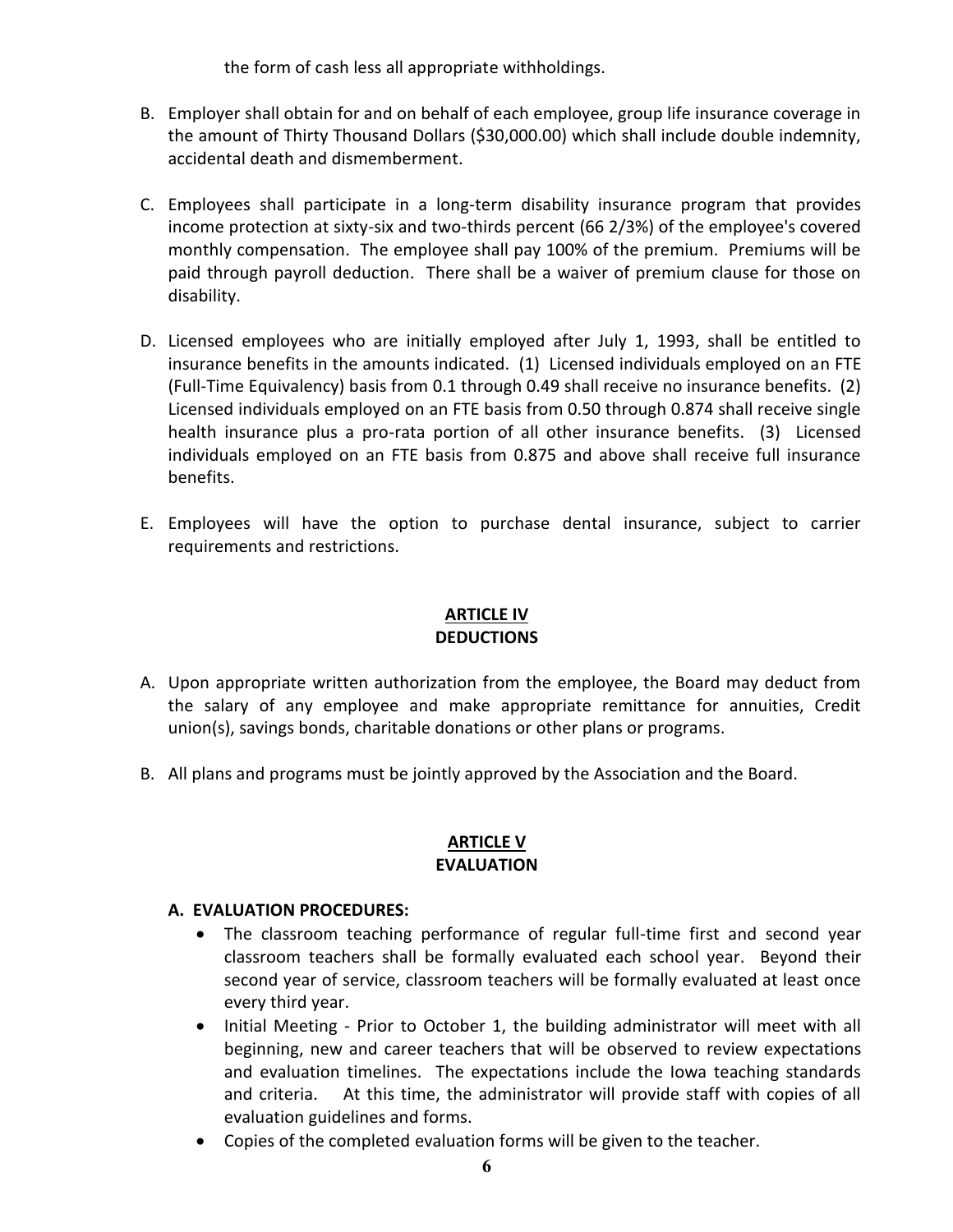the form of cash less all appropriate withholdings.

- B. Employer shall obtain for and on behalf of each employee, group life insurance coverage in the amount of Thirty Thousand Dollars (\$30,000.00) which shall include double indemnity, accidental death and dismemberment.
- C. Employees shall participate in a long-term disability insurance program that provides income protection at sixty-six and two-thirds percent (66 2/3%) of the employee's covered monthly compensation. The employee shall pay 100% of the premium. Premiums will be paid through payroll deduction. There shall be a waiver of premium clause for those on disability.
- D. Licensed employees who are initially employed after July 1, 1993, shall be entitled to insurance benefits in the amounts indicated. (1) Licensed individuals employed on an FTE (Full-Time Equivalency) basis from 0.1 through 0.49 shall receive no insurance benefits. (2) Licensed individuals employed on an FTE basis from 0.50 through 0.874 shall receive single health insurance plus a pro-rata portion of all other insurance benefits. (3) Licensed individuals employed on an FTE basis from 0.875 and above shall receive full insurance benefits.
- E. Employees will have the option to purchase dental insurance, subject to carrier requirements and restrictions.

#### **ARTICLE IV DEDUCTIONS**

- A. Upon appropriate written authorization from the employee, the Board may deduct from the salary of any employee and make appropriate remittance for annuities, Credit union(s), savings bonds, charitable donations or other plans or programs.
- B. All plans and programs must be jointly approved by the Association and the Board.

### **ARTICLE V EVALUATION**

# **A. EVALUATION PROCEDURES:**

- The classroom teaching performance of regular full-time first and second year classroom teachers shall be formally evaluated each school year. Beyond their second year of service, classroom teachers will be formally evaluated at least once every third year.
- Initial Meeting Prior to October 1, the building administrator will meet with all beginning, new and career teachers that will be observed to review expectations and evaluation timelines. The expectations include the Iowa teaching standards and criteria. At this time, the administrator will provide staff with copies of all evaluation guidelines and forms.
- Copies of the completed evaluation forms will be given to the teacher.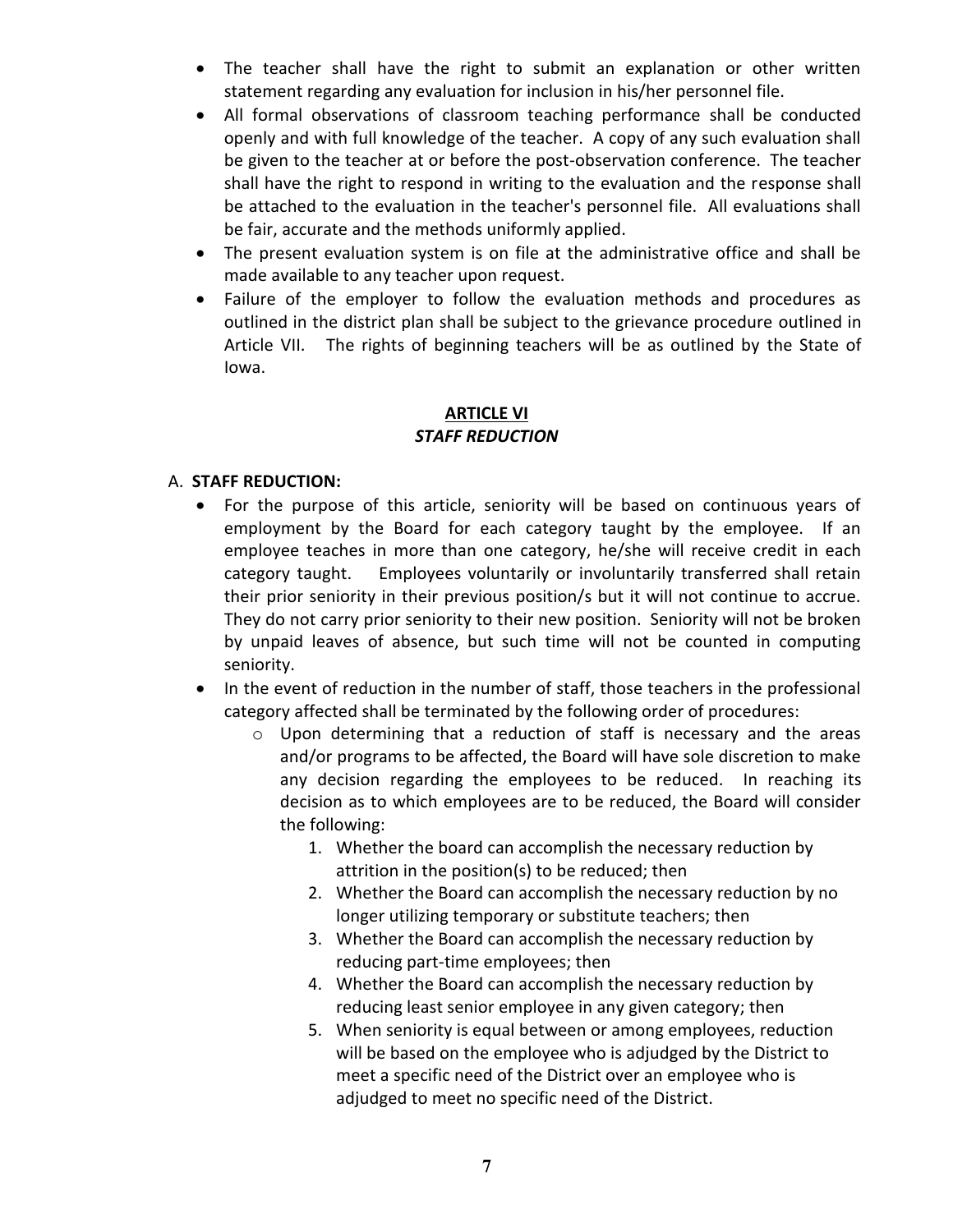- The teacher shall have the right to submit an explanation or other written statement regarding any evaluation for inclusion in his/her personnel file.
- All formal observations of classroom teaching performance shall be conducted openly and with full knowledge of the teacher. A copy of any such evaluation shall be given to the teacher at or before the post-observation conference. The teacher shall have the right to respond in writing to the evaluation and the response shall be attached to the evaluation in the teacher's personnel file. All evaluations shall be fair, accurate and the methods uniformly applied.
- The present evaluation system is on file at the administrative office and shall be made available to any teacher upon request.
- Failure of the employer to follow the evaluation methods and procedures as outlined in the district plan shall be subject to the grievance procedure outlined in Article VII. The rights of beginning teachers will be as outlined by the State of Iowa.

# **ARTICLE VI** *STAFF REDUCTION*

# A. **STAFF REDUCTION:**

- For the purpose of this article, seniority will be based on continuous years of employment by the Board for each category taught by the employee. If an employee teaches in more than one category, he/she will receive credit in each category taught. Employees voluntarily or involuntarily transferred shall retain their prior seniority in their previous position/s but it will not continue to accrue. They do not carry prior seniority to their new position. Seniority will not be broken by unpaid leaves of absence, but such time will not be counted in computing seniority.
- In the event of reduction in the number of staff, those teachers in the professional category affected shall be terminated by the following order of procedures:
	- o Upon determining that a reduction of staff is necessary and the areas and/or programs to be affected, the Board will have sole discretion to make any decision regarding the employees to be reduced. In reaching its decision as to which employees are to be reduced, the Board will consider the following:
		- 1. Whether the board can accomplish the necessary reduction by attrition in the position(s) to be reduced; then
		- 2. Whether the Board can accomplish the necessary reduction by no longer utilizing temporary or substitute teachers; then
		- 3. Whether the Board can accomplish the necessary reduction by reducing part-time employees; then
		- 4. Whether the Board can accomplish the necessary reduction by reducing least senior employee in any given category; then
		- 5. When seniority is equal between or among employees, reduction will be based on the employee who is adjudged by the District to meet a specific need of the District over an employee who is adjudged to meet no specific need of the District.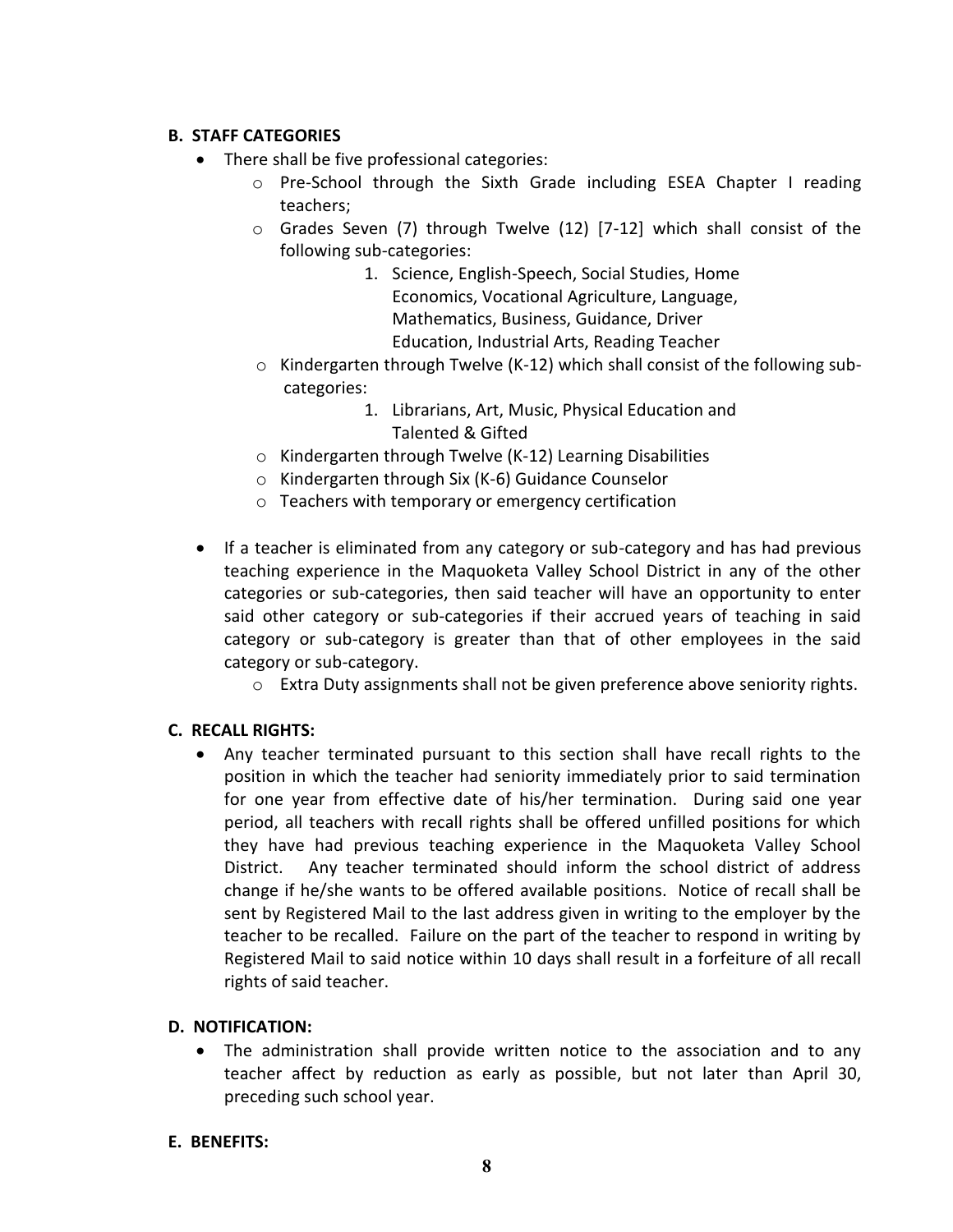# **B. STAFF CATEGORIES**

- There shall be five professional categories:
	- o Pre-School through the Sixth Grade including ESEA Chapter I reading teachers;
	- o Grades Seven (7) through Twelve (12) [7-12] which shall consist of the following sub-categories:
		- 1. Science, English-Speech, Social Studies, Home Economics, Vocational Agriculture, Language, Mathematics, Business, Guidance, Driver Education, Industrial Arts, Reading Teacher
	- $\circ$  Kindergarten through Twelve (K-12) which shall consist of the following subcategories:
		- 1. Librarians, Art, Music, Physical Education and Talented & Gifted
	- o Kindergarten through Twelve (K-12) Learning Disabilities
	- o Kindergarten through Six (K-6) Guidance Counselor
	- o Teachers with temporary or emergency certification
- If a teacher is eliminated from any category or sub-category and has had previous teaching experience in the Maquoketa Valley School District in any of the other categories or sub-categories, then said teacher will have an opportunity to enter said other category or sub-categories if their accrued years of teaching in said category or sub-category is greater than that of other employees in the said category or sub-category.
	- o Extra Duty assignments shall not be given preference above seniority rights.

# **C. RECALL RIGHTS:**

 Any teacher terminated pursuant to this section shall have recall rights to the position in which the teacher had seniority immediately prior to said termination for one year from effective date of his/her termination. During said one year period, all teachers with recall rights shall be offered unfilled positions for which they have had previous teaching experience in the Maquoketa Valley School District. Any teacher terminated should inform the school district of address change if he/she wants to be offered available positions. Notice of recall shall be sent by Registered Mail to the last address given in writing to the employer by the teacher to be recalled. Failure on the part of the teacher to respond in writing by Registered Mail to said notice within 10 days shall result in a forfeiture of all recall rights of said teacher.

# **D. NOTIFICATION:**

 The administration shall provide written notice to the association and to any teacher affect by reduction as early as possible, but not later than April 30, preceding such school year.

#### **E. BENEFITS:**